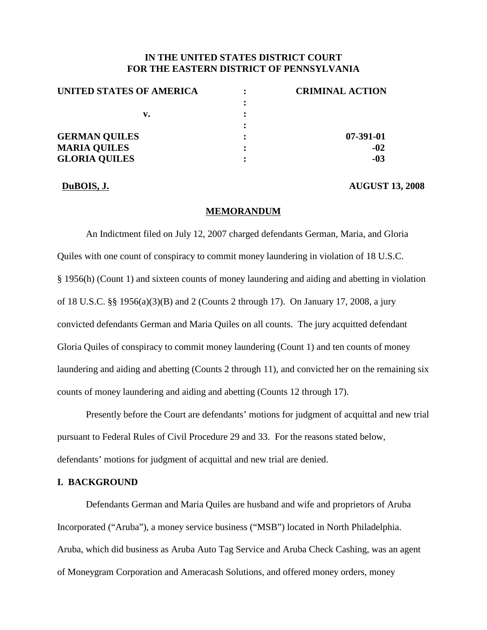## **IN THE UNITED STATES DISTRICT COURT FOR THE EASTERN DISTRICT OF PENNSYLVANIA**

| UNITED STATES OF AMERICA | <b>CRIMINAL ACTION</b> |
|--------------------------|------------------------|
|                          |                        |
| v.                       |                        |
|                          |                        |
| <b>GERMAN QUILES</b>     | 07-391-01              |
| <b>MARIA QUILES</b>      | $-02$                  |
| <b>GLORIA QUILES</b>     | $-03$                  |

**DuBOIS, J. AUGUST 13, 2008**

### **MEMORANDUM**

An Indictment filed on July 12, 2007 charged defendants German, Maria, and Gloria Quiles with one count of conspiracy to commit money laundering in violation of 18 U.S.C. § 1956(h) (Count 1) and sixteen counts of money laundering and aiding and abetting in violation of 18 U.S.C. §§ 1956(a)(3)(B) and 2 (Counts 2 through 17). On January 17, 2008, a jury convicted defendants German and Maria Quiles on all counts. The jury acquitted defendant Gloria Quiles of conspiracy to commit money laundering (Count 1) and ten counts of money laundering and aiding and abetting (Counts 2 through 11), and convicted her on the remaining six counts of money laundering and aiding and abetting (Counts 12 through 17).

Presently before the Court are defendants' motions for judgment of acquittal and new trial pursuant to Federal Rules of Civil Procedure 29 and 33. For the reasons stated below, defendants' motions for judgment of acquittal and new trial are denied.

## **I. BACKGROUND**

Defendants German and Maria Quiles are husband and wife and proprietors of Aruba Incorporated ("Aruba"), a money service business ("MSB") located in North Philadelphia. Aruba, which did business as Aruba Auto Tag Service and Aruba Check Cashing, was an agent of Moneygram Corporation and Ameracash Solutions, and offered money orders, money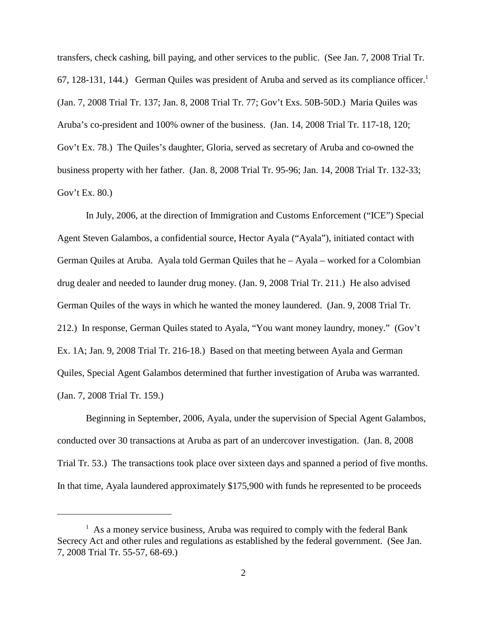transfers, check cashing, bill paying, and other services to the public. (See Jan. 7, 2008 Trial Tr. 67, 128-131, 144.) German Quiles was president of Aruba and served as its compliance officer. 1 (Jan. 7, 2008 Trial Tr. 137; Jan. 8, 2008 Trial Tr. 77; Gov't Exs. 50B-50D.) Maria Quiles was Aruba's co-president and 100% owner of the business. (Jan. 14, 2008 Trial Tr. 117-18, 120; Gov't Ex. 78.) The Quiles's daughter, Gloria, served as secretary of Aruba and co-owned the business property with her father. (Jan. 8, 2008 Trial Tr. 95-96; Jan. 14, 2008 Trial Tr. 132-33; Gov't Ex. 80.)

In July, 2006, at the direction of Immigration and Customs Enforcement ("ICE") Special Agent Steven Galambos, a confidential source, Hector Ayala ("Ayala"), initiated contact with German Quiles at Aruba. Ayala told German Quiles that he – Ayala – worked for a Colombian drug dealer and needed to launder drug money. (Jan. 9, 2008 Trial Tr. 211.) He also advised German Quiles of the ways in which he wanted the money laundered. (Jan. 9, 2008 Trial Tr. 212.) In response, German Quiles stated to Ayala, "You want money laundry, money." (Gov't Ex. 1A; Jan. 9, 2008 Trial Tr. 216-18.) Based on that meeting between Ayala and German Quiles, Special Agent Galambos determined that further investigation of Aruba was warranted. (Jan. 7, 2008 Trial Tr. 159.)

Beginning in September, 2006, Ayala, under the supervision of Special Agent Galambos, conducted over 30 transactions at Aruba as part of an undercover investigation. (Jan. 8, 2008 Trial Tr. 53.) The transactions took place over sixteen days and spanned a period of five months. In that time, Ayala laundered approximately \$175,900 with funds he represented to be proceeds

 $<sup>1</sup>$  As a money service business, Aruba was required to comply with the federal Bank</sup> Secrecy Act and other rules and regulations as established by the federal government. (See Jan. 7, 2008 Trial Tr. 55-57, 68-69.)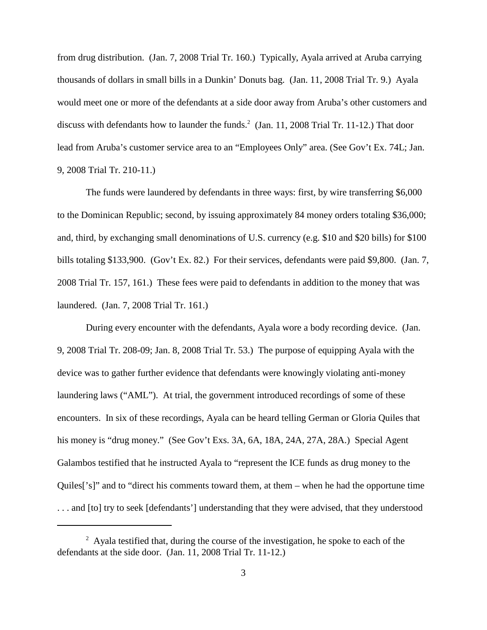from drug distribution. (Jan. 7, 2008 Trial Tr. 160.) Typically, Ayala arrived at Aruba carrying thousands of dollars in small bills in a Dunkin' Donuts bag. (Jan. 11, 2008 Trial Tr. 9.) Ayala would meet one or more of the defendants at a side door away from Aruba's other customers and discuss with defendants how to launder the funds. <sup>2</sup> (Jan. 11, 2008 Trial Tr. 11-12.) That door lead from Aruba's customer service area to an "Employees Only" area. (See Gov't Ex. 74L; Jan. 9, 2008 Trial Tr. 210-11.)

The funds were laundered by defendants in three ways: first, by wire transferring \$6,000 to the Dominican Republic; second, by issuing approximately 84 money orders totaling \$36,000; and, third, by exchanging small denominations of U.S. currency (e.g. \$10 and \$20 bills) for \$100 bills totaling \$133,900. (Gov't Ex. 82.) For their services, defendants were paid \$9,800. (Jan. 7, 2008 Trial Tr. 157, 161.) These fees were paid to defendants in addition to the money that was laundered. (Jan. 7, 2008 Trial Tr. 161.)

During every encounter with the defendants, Ayala wore a body recording device. (Jan. 9, 2008 Trial Tr. 208-09; Jan. 8, 2008 Trial Tr. 53.) The purpose of equipping Ayala with the device was to gather further evidence that defendants were knowingly violating anti-money laundering laws ("AML"). At trial, the government introduced recordings of some of these encounters. In six of these recordings, Ayala can be heard telling German or Gloria Quiles that his money is "drug money." (See Gov't Exs. 3A, 6A, 18A, 24A, 27A, 28A.) Special Agent Galambos testified that he instructed Ayala to "represent the ICE funds as drug money to the Quiles['s]" and to "direct his comments toward them, at them – when he had the opportune time ... and [to] try to seek [defendants'] understanding that they were advised, that they understood

 $2 \text{ }$  Ayala testified that, during the course of the investigation, he spoke to each of the defendants at the side door. (Jan. 11, 2008 Trial Tr. 11-12.)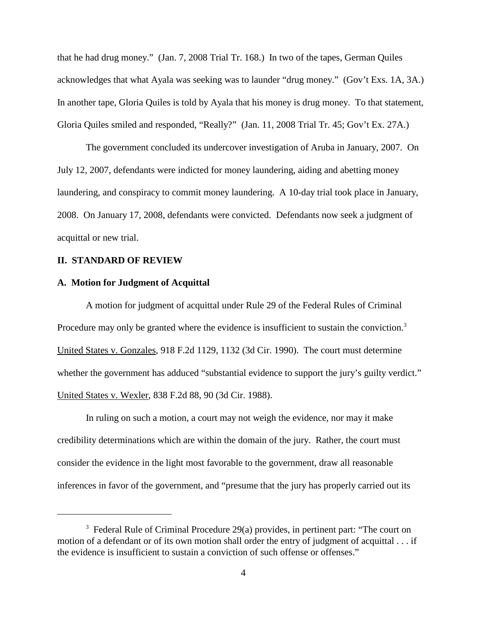that he had drug money." (Jan. 7, 2008 Trial Tr. 168.) In two of the tapes, German Quiles acknowledges that what Ayala was seeking was to launder "drug money." (Gov't Exs. 1A, 3A.) In another tape, Gloria Quiles is told by Ayala that his money is drug money. To that statement, Gloria Quiles smiled and responded, "Really?" (Jan. 11, 2008 Trial Tr. 45; Gov't Ex. 27A.)

The government concluded its undercover investigation of Aruba in January, 2007. On July 12, 2007, defendants were indicted for money laundering, aiding and abetting money laundering, and conspiracy to commit money laundering. A 10-day trial took place in January, 2008. On January 17, 2008, defendants were convicted. Defendants now seek a judgment of acquittal or new trial.

#### **II. STANDARD OF REVIEW**

## **A. Motion for Judgment of Acquittal**

A motion for judgment of acquittal under Rule 29 of the Federal Rules of Criminal Procedure may only be granted where the evidence is insufficient to sustain the conviction.<sup>3</sup> United States v. Gonzales, 918 F.2d 1129, 1132 (3d Cir. 1990). The court must determine whether the government has adduced "substantial evidence to support the jury's guilty verdict." United States v. Wexler, 838 F.2d 88, 90 (3d Cir. 1988).

In ruling on such a motion, a court may not weigh the evidence, nor may it make credibility determinations which are within the domain of the jury. Rather, the court must consider the evidence in the light most favorable to the government, draw all reasonable inferences in favor of the government, and "presume that the jury has properly carried out its

<sup>&</sup>lt;sup>3</sup> Federal Rule of Criminal Procedure 29(a) provides, in pertinent part: "The court on motion of a defendant or of its own motion shall order the entry of judgment of acquittal . . . if the evidence is insufficient to sustain a conviction of such offense or offenses."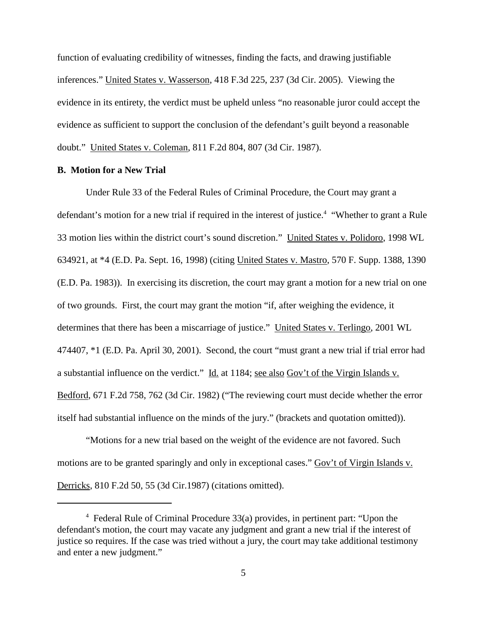function of evaluating credibility of witnesses, finding the facts, and drawing justifiable inferences." United States v. Wasserson, 418 F.3d 225, 237 (3d Cir. 2005). Viewing the evidence in its entirety, the verdict must be upheld unless "no reasonable juror could accept the evidence as sufficient to support the conclusion of the defendant's guilt beyond a reasonable doubt." United States v. Coleman, 811 F.2d 804, 807 (3d Cir. 1987).

## **B. Motion for a New Trial**

Under Rule 33 of the Federal Rules of Criminal Procedure, the Court may grant a defendant's motion for a new trial if required in the interest of justice.<sup>4</sup> "Whether to grant a Rule 33 motion lies within the district court's sound discretion." United States v. Polidoro, 1998 WL 634921, at \*4 (E.D. Pa. Sept. 16, 1998) (citing United States v. Mastro, 570 F. Supp. 1388, 1390 (E.D. Pa. 1983)). In exercising its discretion, the court may grant a motion for a new trial on one of two grounds. First, the court may grant the motion "if, after weighing the evidence, it determines that there has been a miscarriage of justice." United States v. Terlingo, 2001 WL 474407, \*1 (E.D. Pa. April 30, 2001). Second, the court "must grant a new trial if trial error had a substantial influence on the verdict." Id. at 1184; see also Gov't of the Virgin Islands v. Bedford, 671 F.2d 758, 762 (3d Cir. 1982) ("The reviewing court must decide whether the error itself had substantial influence on the minds of the jury." (brackets and quotation omitted)).

"Motions for a new trial based on the weight of the evidence are not favored. Such motions are to be granted sparingly and only in exceptional cases." Gov't of Virgin Islands v. Derricks, 810 F.2d 50, 55 (3d Cir.1987) (citations omitted).

<sup>4</sup> Federal Rule of Criminal Procedure 33(a) provides, in pertinent part: "Upon the defendant's motion, the court may vacate any judgment and grant a new trial if the interest of justice so requires. If the case was tried without a jury, the court may take additional testimony and enter a new judgment."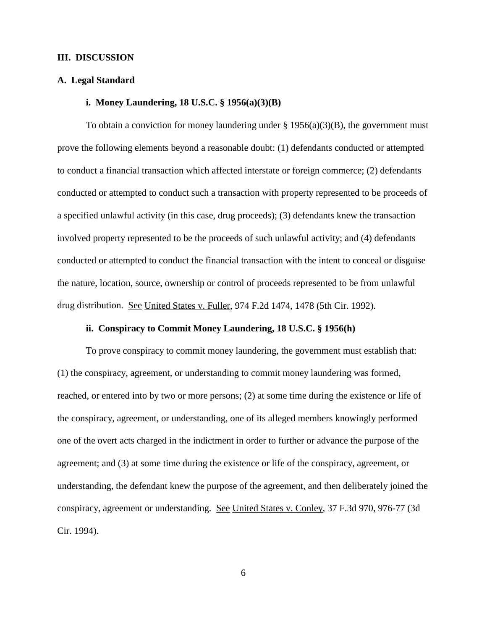## **III. DISCUSSION**

## **A. Legal Standard**

## **i. Money Laundering, 18 U.S.C. § 1956(a)(3)(B)**

To obtain a conviction for money laundering under  $\S 1956(a)(3)(B)$ , the government must prove the following elements beyond a reasonable doubt: (1) defendants conducted or attempted to conduct a financial transaction which affected interstate or foreign commerce; (2) defendants conducted or attempted to conduct such a transaction with property represented to be proceeds of a specified unlawful activity (in this case, drug proceeds); (3) defendants knew the transaction involved property represented to be the proceeds of such unlawful activity; and (4) defendants conducted or attempted to conduct the financial transaction with the intent to conceal or disguise the nature, location, source, ownership or control of proceeds represented to be from unlawful drug distribution. See United States v. Fuller, 974 F.2d 1474, 1478 (5th Cir. 1992).

## **ii. Conspiracy to Commit Money Laundering, 18 U.S.C. § 1956(h)**

To prove conspiracy to commit money laundering, the government must establish that: (1) the conspiracy, agreement, or understanding to commit money laundering was formed, reached, or entered into by two or more persons; (2) at some time during the existence or life of the conspiracy, agreement, or understanding, one of its alleged members knowingly performed one of the overt acts charged in the indictment in order to further or advance the purpose of the agreement; and (3) at some time during the existence or life of the conspiracy, agreement, or understanding, the defendant knew the purpose of the agreement, and then deliberately joined the conspiracy, agreement or understanding. See United States v. Conley, 37 F.3d 970, 976-77 (3d Cir. 1994).

6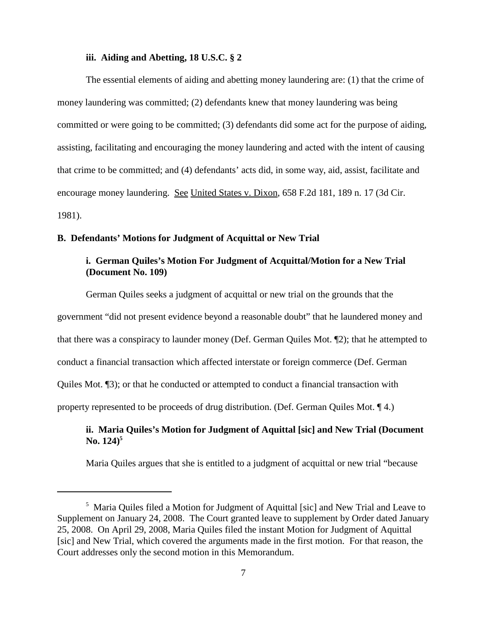## **iii. Aiding and Abetting, 18 U.S.C. § 2**

The essential elements of aiding and abetting money laundering are: (1) that the crime of money laundering was committed; (2) defendants knew that money laundering was being committed or were going to be committed; (3) defendants did some act for the purpose of aiding, assisting, facilitating and encouraging the money laundering and acted with the intent of causing that crime to be committed; and (4) defendants' acts did, in some way, aid, assist, facilitate and encourage money laundering. See United States v. Dixon, 658 F.2d 181, 189 n. 17 (3d Cir. 1981).

## **B. Defendants' Motions for Judgment of Acquittal or New Trial**

## **i. German Quiles's Motion For Judgment of Acquittal/Motion for a New Trial (Document No. 109)**

German Quiles seeks a judgment of acquittal or new trial on the grounds that the government "did not present evidence beyond a reasonable doubt" that he laundered money and that there was a conspiracy to launder money (Def. German Quiles Mot. ¶2); that he attempted to conduct a financial transaction which affected interstate or foreign commerce (Def. German Quiles Mot. ¶3); or that he conducted or attempted to conduct a financial transaction with property represented to be proceeds of drug distribution. (Def. German Quiles Mot. ¶ 4.)

## **ii. Maria Quiles's Motion for Judgment of Aquittal [sic] and New Trial (Document No. 124) 5**

Maria Quiles argues that she is entitled to a judgment of acquittal or new trial "because

<sup>5</sup> Maria Quiles filed a Motion for Judgment of Aquittal [sic] and New Trial and Leave to Supplement on January 24, 2008. The Court granted leave to supplement by Order dated January 25, 2008. On April 29, 2008, Maria Quiles filed the instant Motion for Judgment of Aquittal [sic] and New Trial, which covered the arguments made in the first motion. For that reason, the Court addresses only the second motion in this Memorandum.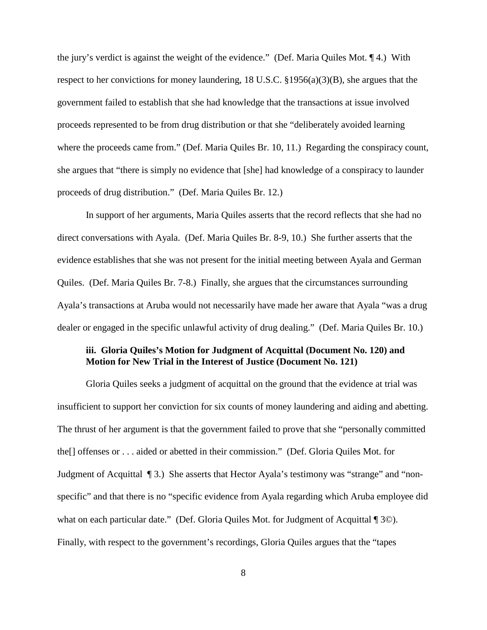the jury's verdict is against the weight of the evidence." (Def. Maria Quiles Mot. ¶ 4.) With respect to her convictions for money laundering, 18 U.S.C.  $\S 1956(a)(3)(B)$ , she argues that the government failed to establish that she had knowledge that the transactions at issue involved proceeds represented to be from drug distribution or that she "deliberately avoided learning where the proceeds came from." (Def. Maria Quiles Br. 10, 11.) Regarding the conspiracy count, she argues that "there is simply no evidence that [she] had knowledge of a conspiracy to launder proceeds of drug distribution." (Def. Maria Quiles Br. 12.)

In support of her arguments, Maria Quiles asserts that the record reflects that she had no direct conversations with Ayala. (Def. Maria Quiles Br. 8-9, 10.) She further asserts that the evidence establishes that she was not present for the initial meeting between Ayala and German Quiles. (Def. Maria Quiles Br. 7-8.) Finally, she argues that the circumstances surrounding Ayala's transactions at Aruba would not necessarily have made her aware that Ayala "was a drug dealer or engaged in the specific unlawful activity of drug dealing." (Def. Maria Quiles Br. 10.)

## **iii. Gloria Quiles's Motion for Judgment of Acquittal (Document No. 120) and Motion for New Trial in the Interest of Justice (Document No. 121)**

Gloria Quiles seeks a judgment of acquittal on the ground that the evidence at trial was insufficient to support her conviction for six counts of money laundering and aiding and abetting. The thrust of her argument is that the government failed to prove that she "personally committed the[] offenses or . . . aided or abetted in their commission." (Def. Gloria Quiles Mot. for Judgment of Acquittal ¶ 3.) She asserts that Hector Ayala's testimony was "strange" and "nonspecific" and that there is no "specific evidence from Ayala regarding which Aruba employee did what on each particular date." (Def. Gloria Quiles Mot. for Judgment of Acquittal ¶ 3©). Finally, with respect to the government's recordings, Gloria Quiles argues that the "tapes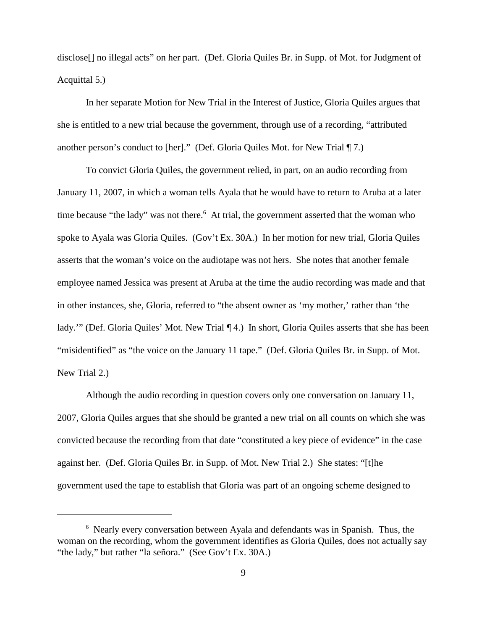disclose[] no illegal acts" on her part. (Def. Gloria Quiles Br. in Supp. of Mot. for Judgment of Acquittal 5.)

In her separate Motion for New Trial in the Interest of Justice, Gloria Quiles argues that she is entitled to a new trial because the government, through use of a recording, "attributed another person's conduct to [her]." (Def. Gloria Quiles Mot. for New Trial ¶ 7.)

To convict Gloria Quiles, the government relied, in part, on an audio recording from January 11, 2007, in which a woman tells Ayala that he would have to return to Aruba at a later time because "the lady" was not there. <sup>6</sup> At trial, the government asserted that the woman who spoke to Ayala was Gloria Quiles. (Gov't Ex. 30A.) In her motion for new trial, Gloria Quiles asserts that the woman's voice on the audiotape was not hers. She notes that another female employee named Jessica was present at Aruba at the time the audio recording was made and that in other instances, she, Gloria, referred to "the absent owner as 'my mother,' rather than 'the lady."" (Def. Gloria Quiles' Mot. New Trial ¶ 4.) In short, Gloria Quiles asserts that she has been "misidentified" as "the voice on the January 11 tape." (Def. Gloria Quiles Br. in Supp. of Mot. New Trial 2.)

Although the audio recording in question covers only one conversation on January 11, 2007, Gloria Quiles argues that she should be granted a new trial on all counts on which she was convicted because the recording from that date "constituted a key piece of evidence" in the case against her. (Def. Gloria Quiles Br. in Supp. of Mot. New Trial 2.) She states: "[t]he government used the tape to establish that Gloria was part of an ongoing scheme designed to

<sup>6</sup> Nearly every conversation between Ayala and defendants was in Spanish. Thus, the woman on the recording, whom the government identifies as Gloria Quiles, does not actually say "the lady," but rather "la señora." (See Gov't Ex. 30A.)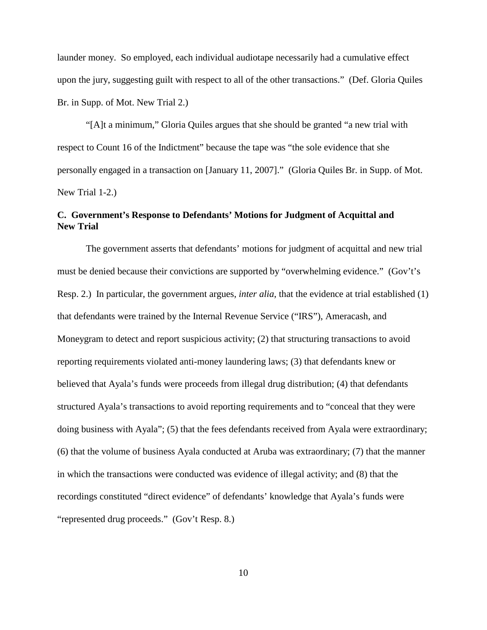launder money. So employed, each individual audiotape necessarily had a cumulative effect upon the jury, suggesting guilt with respect to all of the other transactions." (Def. Gloria Quiles Br. in Supp. of Mot. New Trial 2.)

"[A]t a minimum," Gloria Quiles argues that she should be granted "a new trial with respect to Count 16 of the Indictment" because the tape was "the sole evidence that she personally engaged in a transaction on [January 11, 2007]." (Gloria Quiles Br. in Supp. of Mot. New Trial 1-2.)

## **C. Government's Response to Defendants' Motions for Judgment of Acquittal and New Trial**

The government asserts that defendants' motions for judgment of acquittal and new trial must be denied because their convictions are supported by "overwhelming evidence." (Gov't's Resp. 2.) In particular, the government argues, *inter alia*, that the evidence at trial established (1) that defendants were trained by the Internal Revenue Service ("IRS"), Ameracash, and Moneygram to detect and report suspicious activity; (2) that structuring transactions to avoid reporting requirements violated anti-money laundering laws; (3) that defendants knew or believed that Ayala's funds were proceeds from illegal drug distribution; (4) that defendants structured Ayala's transactions to avoid reporting requirements and to "conceal that they were doing business with Ayala"; (5) that the fees defendants received from Ayala were extraordinary; (6) that the volume of business Ayala conducted at Aruba was extraordinary; (7) that the manner in which the transactions were conducted was evidence of illegal activity; and (8) that the recordings constituted "direct evidence" of defendants' knowledge that Ayala's funds were "represented drug proceeds." (Gov't Resp. 8.)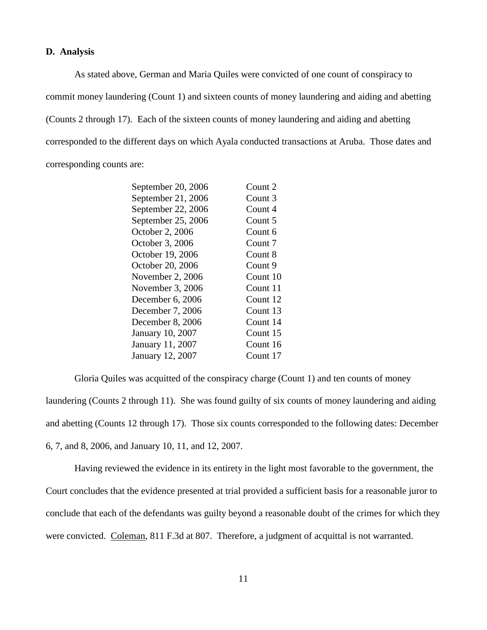#### **D. Analysis**

As stated above, German and Maria Quiles were convicted of one count of conspiracy to commit money laundering (Count 1) and sixteen counts of money laundering and aiding and abetting (Counts 2 through 17). Each of the sixteen counts of money laundering and aiding and abetting corresponded to the different days on which Ayala conducted transactions at Aruba. Those dates and corresponding counts are:

| September 20, 2006 | Count 2  |
|--------------------|----------|
| September 21, 2006 | Count 3  |
| September 22, 2006 | Count 4  |
| September 25, 2006 | Count 5  |
| October 2, 2006    | Count 6  |
| October 3, 2006    | Count 7  |
| October 19, 2006   | Count 8  |
| October 20, 2006   | Count 9  |
| November 2, 2006   | Count 10 |
| November 3, 2006   | Count 11 |
| December 6, 2006   | Count 12 |
| December 7, 2006   | Count 13 |
| December 8, 2006   | Count 14 |
| January 10, 2007   | Count 15 |
| January 11, 2007   | Count 16 |
| January 12, 2007   | Count 17 |
|                    |          |

Gloria Quiles was acquitted of the conspiracy charge (Count 1) and ten counts of money laundering (Counts 2 through 11). She was found guilty of six counts of money laundering and aiding and abetting (Counts 12 through 17). Those six counts corresponded to the following dates: December 6, 7, and 8, 2006, and January 10, 11, and 12, 2007.

Having reviewed the evidence in its entirety in the light most favorable to the government, the Court concludes that the evidence presented at trial provided a sufficient basis for a reasonable juror to conclude that each of the defendants was guilty beyond a reasonable doubt of the crimes for which they were convicted. Coleman, 811 F.3d at 807. Therefore, a judgment of acquittal is not warranted.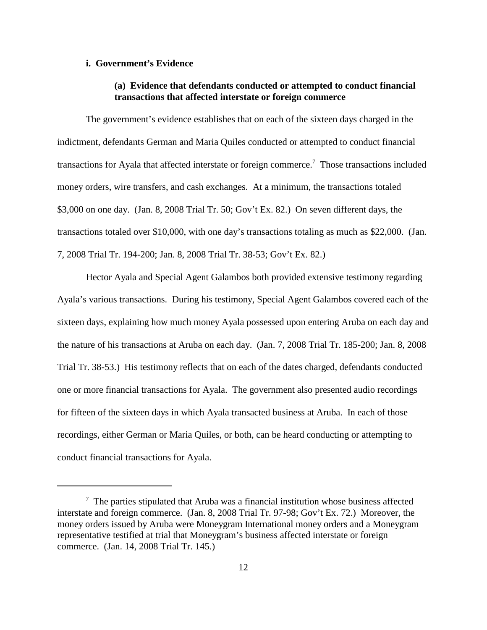## **i. Government's Evidence**

## **(a) Evidence that defendants conducted or attempted to conduct financial transactions that affected interstate or foreign commerce**

The government's evidence establishes that on each of the sixteen days charged in the indictment, defendants German and Maria Quiles conducted or attempted to conduct financial transactions for Ayala that affected interstate or foreign commerce.<sup>7</sup> Those transactions included money orders, wire transfers, and cash exchanges. At a minimum, the transactions totaled \$3,000 on one day. (Jan. 8, 2008 Trial Tr. 50; Gov't Ex. 82.) On seven different days, the transactions totaled over \$10,000, with one day's transactions totaling as much as \$22,000. (Jan. 7, 2008 Trial Tr. 194-200; Jan. 8, 2008 Trial Tr. 38-53; Gov't Ex. 82.)

Hector Ayala and Special Agent Galambos both provided extensive testimony regarding Ayala's various transactions. During his testimony, Special Agent Galambos covered each of the sixteen days, explaining how much money Ayala possessed upon entering Aruba on each day and the nature of his transactions at Aruba on each day. (Jan. 7, 2008 Trial Tr. 185-200; Jan. 8, 2008 Trial Tr. 38-53.) His testimony reflects that on each of the dates charged, defendants conducted one or more financial transactions for Ayala. The government also presented audio recordings for fifteen of the sixteen days in which Ayala transacted business at Aruba. In each of those recordings, either German or Maria Quiles, or both, can be heard conducting or attempting to conduct financial transactions for Ayala.

 $7$  The parties stipulated that Aruba was a financial institution whose business affected interstate and foreign commerce. (Jan. 8, 2008 Trial Tr. 97-98; Gov't Ex. 72.) Moreover, the money orders issued by Aruba were Moneygram International money orders and a Moneygram representative testified at trial that Moneygram's business affected interstate or foreign commerce. (Jan. 14, 2008 Trial Tr. 145.)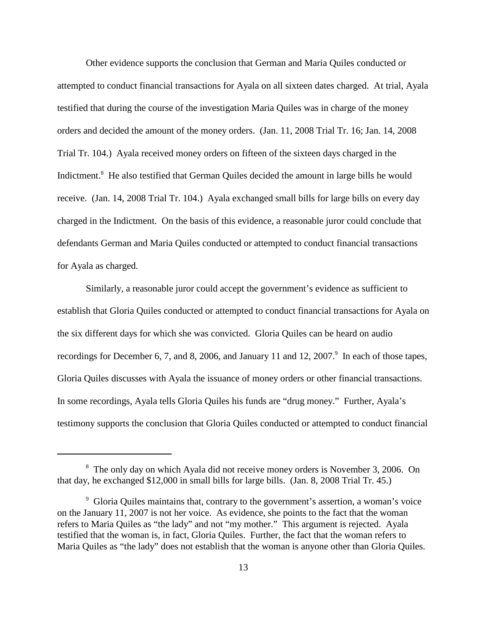Other evidence supports the conclusion that German and Maria Quiles conducted or attempted to conduct financial transactions for Ayala on all sixteen dates charged. At trial, Ayala testified that during the course of the investigation Maria Quiles was in charge of the money orders and decided the amount of the money orders. (Jan. 11, 2008 Trial Tr. 16; Jan. 14, 2008 Trial Tr. 104.) Ayala received money orders on fifteen of the sixteen days charged in the Indictment.<sup>8</sup> He also testified that German Quiles decided the amount in large bills he would receive. (Jan. 14, 2008 Trial Tr. 104.) Ayala exchanged small bills for large bills on every day charged in the Indictment. On the basis of this evidence, a reasonable juror could conclude that defendants German and Maria Quiles conducted or attempted to conduct financial transactions for Ayala as charged.

Similarly, a reasonable juror could accept the government's evidence as sufficient to establish that Gloria Quiles conducted or attempted to conduct financial transactions for Ayala on the six different days for which she was convicted. Gloria Quiles can be heard on audio recordings for December 6, 7, and 8, 2006, and January 11 and 12, 2007.<sup>9</sup> In each of those tapes, Gloria Quiles discusses with Ayala the issuance of money orders or other financial transactions. In some recordings, Ayala tells Gloria Quiles his funds are "drug money." Further, Ayala's testimony supports the conclusion that Gloria Quiles conducted or attempted to conduct financial

<sup>&</sup>lt;sup>8</sup> The only day on which Ayala did not receive money orders is November 3, 2006. On that day, he exchanged \$12,000 in small bills for large bills. (Jan. 8, 2008 Trial Tr. 45.)

<sup>9</sup> Gloria Quiles maintains that, contrary to the government's assertion, a woman's voice on the January 11, 2007 is not her voice. As evidence, she points to the fact that the woman refers to Maria Quiles as "the lady" and not "my mother." This argument is rejected. Ayala testified that the woman is, in fact, Gloria Quiles. Further, the fact that the woman refers to Maria Quiles as "the lady" does not establish that the woman is anyone other than Gloria Quiles.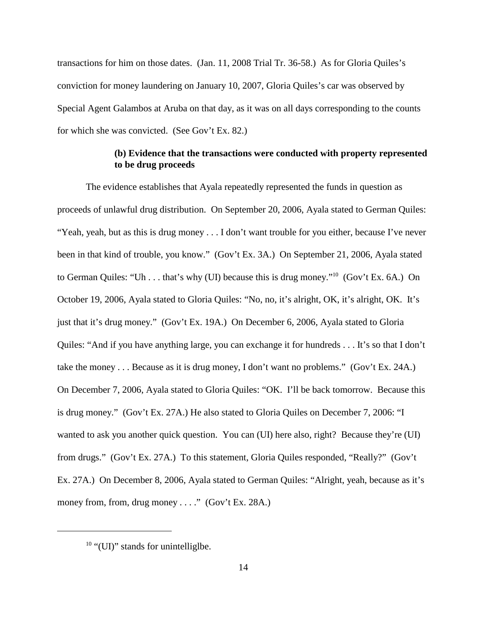transactions for him on those dates. (Jan. 11, 2008 Trial Tr. 36-58.) As for Gloria Quiles's conviction for money laundering on January 10, 2007, Gloria Quiles's car was observed by Special Agent Galambos at Aruba on that day, as it was on all days corresponding to the counts for which she was convicted. (See Gov't Ex. 82.)

## **(b) Evidence that the transactions were conducted with property represented to be drug proceeds**

The evidence establishes that Ayala repeatedly represented the funds in question as proceeds of unlawful drug distribution. On September 20, 2006, Ayala stated to German Quiles: "Yeah, yeah, but as this is drug money . . . I don't want trouble for you either, because I've never been in that kind of trouble, you know." (Gov't Ex. 3A.) On September 21, 2006, Ayala stated to German Quiles: "Uh . . . that's why (UI) because this is drug money."<sup>10</sup> (Gov't Ex. 6A.) On October 19, 2006, Ayala stated to Gloria Quiles: "No, no, it's alright, OK, it's alright, OK. It's just that it's drug money." (Gov't Ex. 19A.) On December 6, 2006, Ayala stated to Gloria Quiles: "And if you have anything large, you can exchange it for hundreds . . . It's so that I don't take the money . . . Because as it is drug money, I don't want no problems." (Gov't Ex. 24A.) On December 7, 2006, Ayala stated to Gloria Quiles: "OK. I'll be back tomorrow. Because this is drug money." (Gov't Ex. 27A.) He also stated to Gloria Quiles on December 7, 2006: "I wanted to ask you another quick question. You can (UI) here also, right? Because they're (UI) from drugs." (Gov't Ex. 27A.) To this statement, Gloria Quiles responded, "Really?" (Gov't Ex. 27A.) On December 8, 2006, Ayala stated to German Quiles: "Alright, yeah, because as it's money from, from, drug money . . . ." (Gov't Ex. 28A.)

 $10$  "(UI)" stands for unintelligibe.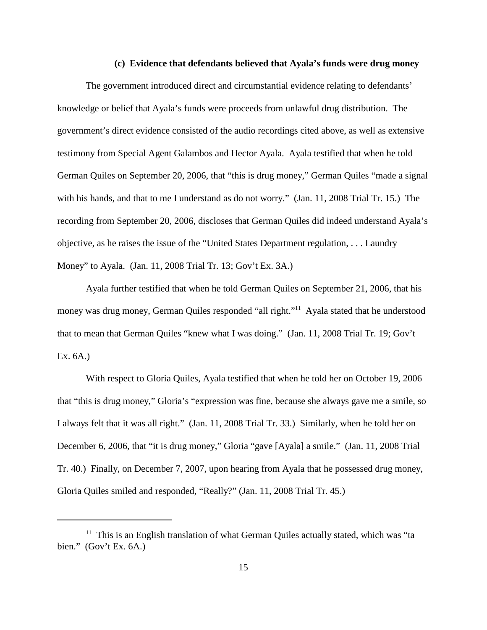#### **(c) Evidence that defendants believed that Ayala's funds were drug money**

The government introduced direct and circumstantial evidence relating to defendants' knowledge or belief that Ayala's funds were proceeds from unlawful drug distribution. The government's direct evidence consisted of the audio recordings cited above, as well as extensive testimony from Special Agent Galambos and Hector Ayala. Ayala testified that when he told German Quiles on September 20, 2006, that "this is drug money," German Quiles "made a signal with his hands, and that to me I understand as do not worry." (Jan. 11, 2008 Trial Tr. 15.) The recording from September 20, 2006, discloses that German Quiles did indeed understand Ayala's objective, as he raises the issue of the "United States Department regulation, . . . Laundry Money" to Ayala. (Jan. 11, 2008 Trial Tr. 13; Gov't Ex. 3A.)

Ayala further testified that when he told German Quiles on September 21, 2006, that his money was drug money, German Quiles responded "all right."<sup>11</sup> Ayala stated that he understood that to mean that German Quiles "knew what I was doing." (Jan. 11, 2008 Trial Tr. 19; Gov't Ex. 6A.)

With respect to Gloria Quiles, Ayala testified that when he told her on October 19, 2006 that "this is drug money," Gloria's "expression was fine, because she always gave me a smile, so I always felt that it was all right." (Jan. 11, 2008 Trial Tr. 33.) Similarly, when he told her on December 6, 2006, that "it is drug money," Gloria "gave [Ayala] a smile." (Jan. 11, 2008 Trial Tr. 40.) Finally, on December 7, 2007, upon hearing from Ayala that he possessed drug money, Gloria Quiles smiled and responded, "Really?" (Jan. 11, 2008 Trial Tr. 45.)

 $11$  This is an English translation of what German Quiles actually stated, which was "ta bien." (Gov't Ex. 6A.)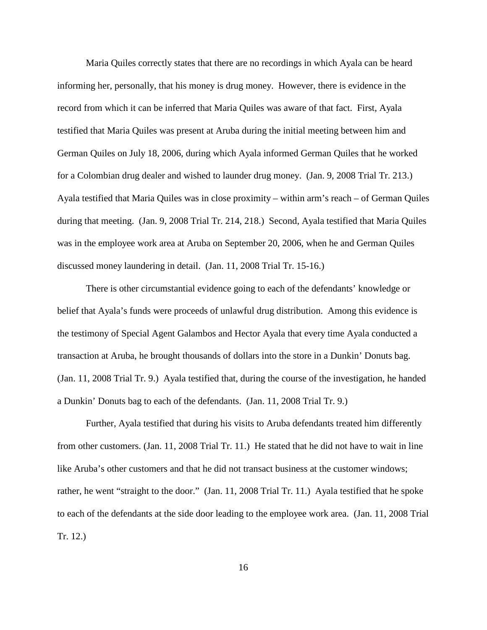Maria Quiles correctly states that there are no recordings in which Ayala can be heard informing her, personally, that his money is drug money. However, there is evidence in the record from which it can be inferred that Maria Quiles was aware of that fact. First, Ayala testified that Maria Quiles was present at Aruba during the initial meeting between him and German Quiles on July 18, 2006, during which Ayala informed German Quiles that he worked for a Colombian drug dealer and wished to launder drug money. (Jan. 9, 2008 Trial Tr. 213.) Ayala testified that Maria Quiles was in close proximity – within arm's reach – of German Quiles during that meeting. (Jan. 9, 2008 Trial Tr. 214, 218.) Second, Ayala testified that Maria Quiles was in the employee work area at Aruba on September 20, 2006, when he and German Quiles discussed money laundering in detail. (Jan. 11, 2008 Trial Tr. 15-16.)

There is other circumstantial evidence going to each of the defendants' knowledge or belief that Ayala's funds were proceeds of unlawful drug distribution. Among this evidence is the testimony of Special Agent Galambos and Hector Ayala that every time Ayala conducted a transaction at Aruba, he brought thousands of dollars into the store in a Dunkin' Donuts bag. (Jan. 11, 2008 Trial Tr. 9.) Ayala testified that, during the course of the investigation, he handed a Dunkin' Donuts bag to each of the defendants. (Jan. 11, 2008 Trial Tr. 9.)

Further, Ayala testified that during his visits to Aruba defendants treated him differently from other customers. (Jan. 11, 2008 Trial Tr. 11.) He stated that he did not have to wait in line like Aruba's other customers and that he did not transact business at the customer windows; rather, he went "straight to the door." (Jan. 11, 2008 Trial Tr. 11.) Ayala testified that he spoke to each of the defendants at the side door leading to the employee work area. (Jan. 11, 2008 Trial Tr. 12.)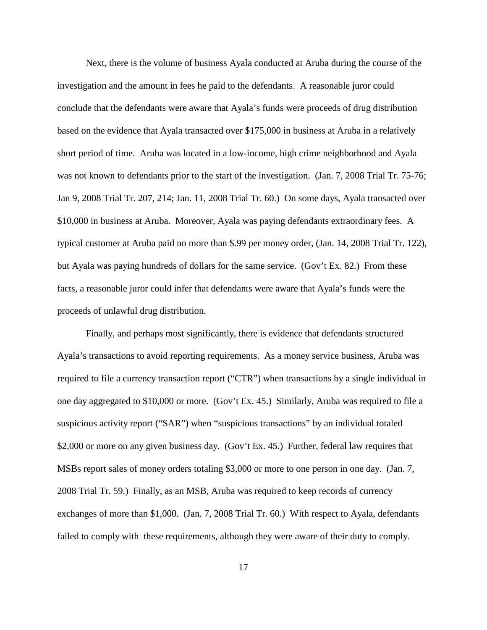Next, there is the volume of business Ayala conducted at Aruba during the course of the investigation and the amount in fees he paid to the defendants. A reasonable juror could conclude that the defendants were aware that Ayala's funds were proceeds of drug distribution based on the evidence that Ayala transacted over \$175,000 in business at Aruba in a relatively short period of time. Aruba was located in a low-income, high crime neighborhood and Ayala was not known to defendants prior to the start of the investigation. (Jan. 7, 2008 Trial Tr. 75-76; Jan 9, 2008 Trial Tr. 207, 214; Jan. 11, 2008 Trial Tr. 60.) On some days, Ayala transacted over \$10,000 in business at Aruba. Moreover, Ayala was paying defendants extraordinary fees. A typical customer at Aruba paid no more than \$.99 per money order, (Jan. 14, 2008 Trial Tr. 122), but Ayala was paying hundreds of dollars for the same service. (Gov't Ex. 82.) From these facts, a reasonable juror could infer that defendants were aware that Ayala's funds were the proceeds of unlawful drug distribution.

Finally, and perhaps most significantly, there is evidence that defendants structured Ayala's transactions to avoid reporting requirements. As a money service business, Aruba was required to file a currency transaction report ("CTR") when transactions by a single individual in one day aggregated to \$10,000 or more. (Gov't Ex. 45.) Similarly, Aruba was required to file a suspicious activity report ("SAR") when "suspicious transactions" by an individual totaled \$2,000 or more on any given business day. (Gov't Ex. 45.) Further, federal law requires that MSBs report sales of money orders totaling \$3,000 or more to one person in one day. (Jan. 7, 2008 Trial Tr. 59.) Finally, as an MSB, Aruba was required to keep records of currency exchanges of more than \$1,000. (Jan. 7, 2008 Trial Tr. 60.) With respect to Ayala, defendants failed to comply with these requirements, although they were aware of their duty to comply.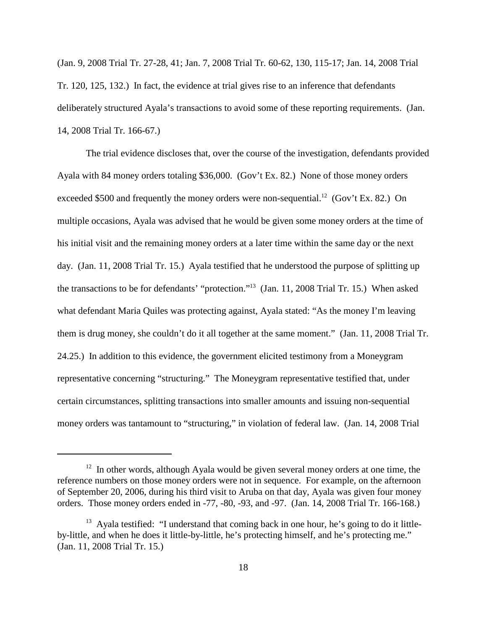(Jan. 9, 2008 Trial Tr. 27-28, 41; Jan. 7, 2008 Trial Tr. 60-62, 130, 115-17; Jan. 14, 2008 Trial Tr. 120, 125, 132.) In fact, the evidence at trial gives rise to an inference that defendants deliberately structured Ayala's transactions to avoid some of these reporting requirements. (Jan. 14, 2008 Trial Tr. 166-67.)

The trial evidence discloses that, over the course of the investigation, defendants provided Ayala with 84 money orders totaling \$36,000. (Gov't Ex. 82.) None of those money orders exceeded \$500 and frequently the money orders were non-sequential.<sup>12</sup> (Gov't Ex. 82.) On multiple occasions, Ayala was advised that he would be given some money orders at the time of his initial visit and the remaining money orders at a later time within the same day or the next day. (Jan. 11, 2008 Trial Tr. 15.) Ayala testified that he understood the purpose of splitting up the transactions to be for defendants' "protection."13 (Jan. 11, 2008 Trial Tr. 15.) When asked what defendant Maria Quiles was protecting against, Ayala stated: "As the money I'm leaving them is drug money, she couldn't do it all together at the same moment." (Jan. 11, 2008 Trial Tr. 24.25.) In addition to this evidence, the government elicited testimony from a Moneygram representative concerning "structuring." The Moneygram representative testified that, under certain circumstances, splitting transactions into smaller amounts and issuing non-sequential money orders was tantamount to "structuring," in violation of federal law. (Jan. 14, 2008 Trial

 $12$  In other words, although Ayala would be given several money orders at one time, the reference numbers on those money orders were not in sequence. For example, on the afternoon of September 20, 2006, during his third visit to Aruba on that day, Ayala was given four money orders. Those money orders ended in -77, -80, -93, and -97. (Jan. 14, 2008 Trial Tr. 166-168.)

 $13$  Ayala testified: "I understand that coming back in one hour, he's going to do it littleby-little, and when he does it little-by-little, he's protecting himself, and he's protecting me." (Jan. 11, 2008 Trial Tr. 15.)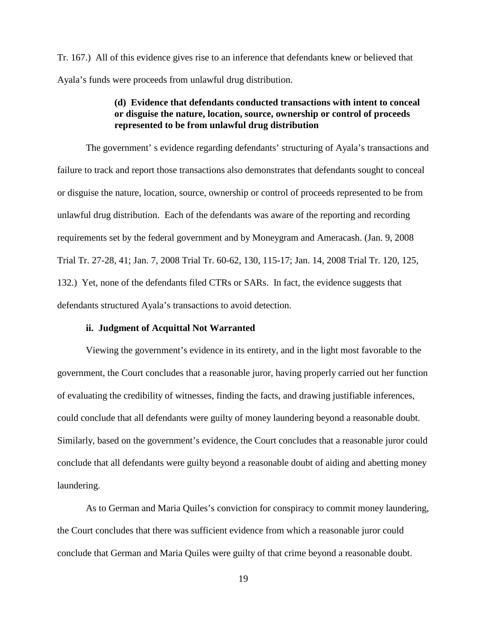Tr. 167.) All of this evidence gives rise to an inference that defendants knew or believed that Ayala's funds were proceeds from unlawful drug distribution.

## **(d) Evidence that defendants conducted transactions with intent to conceal or disguise the nature, location, source, ownership or control of proceeds represented to be from unlawful drug distribution**

The government' s evidence regarding defendants' structuring of Ayala's transactions and failure to track and report those transactions also demonstrates that defendants sought to conceal or disguise the nature, location, source, ownership or control of proceeds represented to be from unlawful drug distribution. Each of the defendants was aware of the reporting and recording requirements set by the federal government and by Moneygram and Ameracash. (Jan. 9, 2008 Trial Tr. 27-28, 41; Jan. 7, 2008 Trial Tr. 60-62, 130, 115-17; Jan. 14, 2008 Trial Tr. 120, 125, 132.) Yet, none of the defendants filed CTRs or SARs. In fact, the evidence suggests that defendants structured Ayala's transactions to avoid detection.

## **ii. Judgment of Acquittal Not Warranted**

Viewing the government's evidence in its entirety, and in the light most favorable to the government, the Court concludes that a reasonable juror, having properly carried out her function of evaluating the credibility of witnesses, finding the facts, and drawing justifiable inferences, could conclude that all defendants were guilty of money laundering beyond a reasonable doubt. Similarly, based on the government's evidence, the Court concludes that a reasonable juror could conclude that all defendants were guilty beyond a reasonable doubt of aiding and abetting money laundering.

As to German and Maria Quiles's conviction for conspiracy to commit money laundering, the Court concludes that there was sufficient evidence from which a reasonable juror could conclude that German and Maria Quiles were guilty of that crime beyond a reasonable doubt.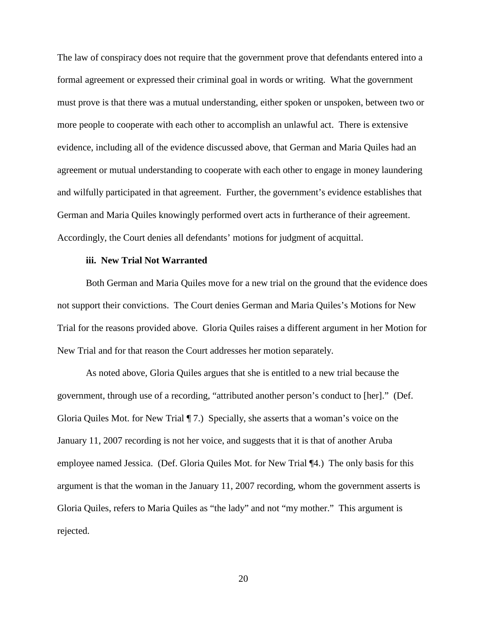The law of conspiracy does not require that the government prove that defendants entered into a formal agreement or expressed their criminal goal in words or writing. What the government must prove is that there was a mutual understanding, either spoken or unspoken, between two or more people to cooperate with each other to accomplish an unlawful act. There is extensive evidence, including all of the evidence discussed above, that German and Maria Quiles had an agreement or mutual understanding to cooperate with each other to engage in money laundering and wilfully participated in that agreement. Further, the government's evidence establishes that German and Maria Quiles knowingly performed overt acts in furtherance of their agreement. Accordingly, the Court denies all defendants' motions for judgment of acquittal.

#### **iii. New Trial Not Warranted**

Both German and Maria Quiles move for a new trial on the ground that the evidence does not support their convictions. The Court denies German and Maria Quiles's Motions for New Trial for the reasons provided above. Gloria Quiles raises a different argument in her Motion for New Trial and for that reason the Court addresses her motion separately.

As noted above, Gloria Quiles argues that she is entitled to a new trial because the government, through use of a recording, "attributed another person's conduct to [her]." (Def. Gloria Quiles Mot. for New Trial ¶ 7.) Specially, she asserts that a woman's voice on the January 11, 2007 recording is not her voice, and suggests that it is that of another Aruba employee named Jessica. (Def. Gloria Quiles Mot. for New Trial ¶4.) The only basis for this argument is that the woman in the January 11, 2007 recording, whom the government asserts is Gloria Quiles, refers to Maria Quiles as "the lady" and not "my mother." This argument is rejected.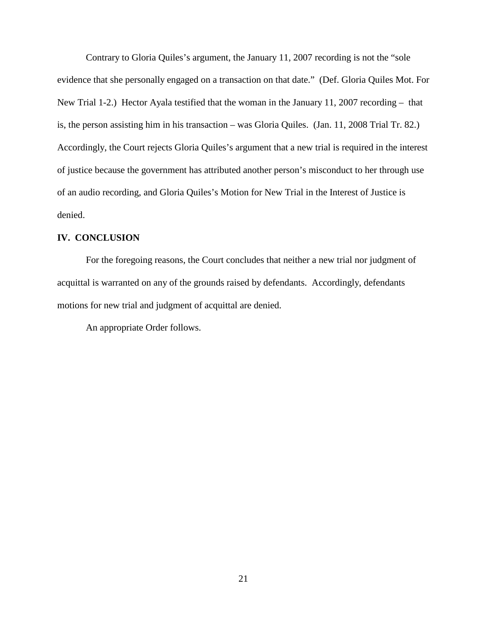Contrary to Gloria Quiles's argument, the January 11, 2007 recording is not the "sole evidence that she personally engaged on a transaction on that date." (Def. Gloria Quiles Mot. For New Trial 1-2.) Hector Ayala testified that the woman in the January 11, 2007 recording – that is, the person assisting him in his transaction – was Gloria Quiles. (Jan. 11, 2008 Trial Tr. 82.) Accordingly, the Court rejects Gloria Quiles's argument that a new trial is required in the interest of justice because the government has attributed another person's misconduct to her through use of an audio recording, and Gloria Quiles's Motion for New Trial in the Interest of Justice is denied.

## **IV. CONCLUSION**

For the foregoing reasons, the Court concludes that neither a new trial nor judgment of acquittal is warranted on any of the grounds raised by defendants. Accordingly, defendants motions for new trial and judgment of acquittal are denied.

An appropriate Order follows.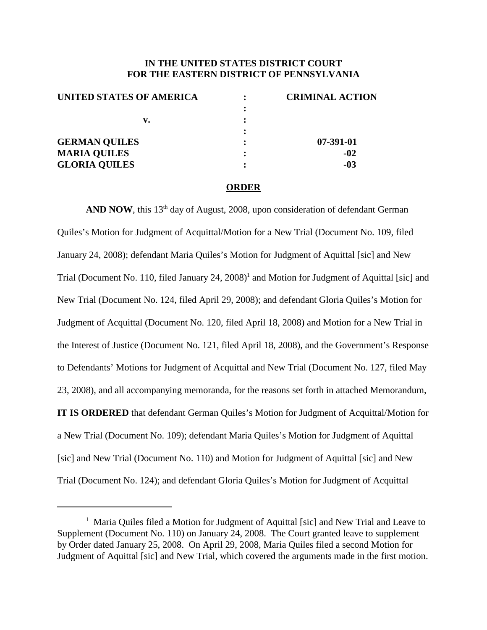## **IN THE UNITED STATES DISTRICT COURT FOR THE EASTERN DISTRICT OF PENNSYLVANIA**

| UNITED STATES OF AMERICA | <b>CRIMINAL ACTION</b> |
|--------------------------|------------------------|
|                          |                        |
| v.                       |                        |
|                          |                        |
| <b>GERMAN QUILES</b>     | 07-391-01              |
| <b>MARIA QUILES</b>      | $-02$                  |
| <b>GLORIA QUILES</b>     | $-03$                  |
|                          |                        |

#### **ORDER**

AND **NOW**, this 13<sup>th</sup> day of August, 2008, upon consideration of defendant German Quiles's Motion for Judgment of Acquittal/Motion for a New Trial (Document No. 109, filed January 24, 2008); defendant Maria Quiles's Motion for Judgment of Aquittal [sic] and New Trial (Document No. 110, filed January 24, 2008) <sup>1</sup> and Motion for Judgment of Aquittal [sic] and New Trial (Document No. 124, filed April 29, 2008); and defendant Gloria Quiles's Motion for Judgment of Acquittal (Document No. 120, filed April 18, 2008) and Motion for a New Trial in the Interest of Justice (Document No. 121, filed April 18, 2008), and the Government's Response to Defendants' Motions for Judgment of Acquittal and New Trial (Document No. 127, filed May 23, 2008), and all accompanying memoranda, for the reasons set forth in attached Memorandum, **IT IS ORDERED** that defendant German Quiles's Motion for Judgment of Acquittal/Motion for a New Trial (Document No. 109); defendant Maria Quiles's Motion for Judgment of Aquittal [sic] and New Trial (Document No. 110) and Motion for Judgment of Aquittal [sic] and New Trial (Document No. 124); and defendant Gloria Quiles's Motion for Judgment of Acquittal

<sup>&</sup>lt;sup>1</sup> Maria Quiles filed a Motion for Judgment of Aquittal [sic] and New Trial and Leave to Supplement (Document No. 110) on January 24, 2008. The Court granted leave to supplement by Order dated January 25, 2008. On April 29, 2008, Maria Quiles filed a second Motion for Judgment of Aquittal [sic] and New Trial, which covered the arguments made in the first motion.